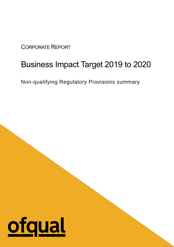### CORPORATE REPORT

## Business Impact Target 2019 to 2020

Non-qualifying Regulatory Provisions summary

# ofqual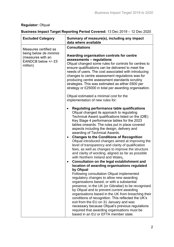#### **Regulator:** Ofqual

#### **Business Impact Target Reporting Period Covered:** 13 Dec 2019 – 12 Dec 2020

| <b>Excluded Category</b>                                                                                | Summary of measure(s), including any impact<br>data where available                                                                                                                                                                                                                                                                                                                                                                                                                                                                                                                                                                                                                                                         |
|---------------------------------------------------------------------------------------------------------|-----------------------------------------------------------------------------------------------------------------------------------------------------------------------------------------------------------------------------------------------------------------------------------------------------------------------------------------------------------------------------------------------------------------------------------------------------------------------------------------------------------------------------------------------------------------------------------------------------------------------------------------------------------------------------------------------------------------------------|
| Measures certified as<br>being below de minimis<br>(measures with an<br>EANDCB below +/- £5<br>million) | <b>Consultations</b><br>Awarding organisation controls for centre<br>assessments - regulations<br>Ofqual changed some rules for controls for centres to<br>ensure qualifications can be delivered to meet the<br>needs of users. The cost associated with introducing<br>changes to centre assessment regulations was for<br>producing centre assessment standards scrutiny<br>strategies. This was estimated as either £600 per<br>strategy or £25000 in total per awarding organisation.<br>Ofqual estimated a minimal cost for the<br>implementation of new rules for:<br>Regulating performance table qualifications<br>Ofqual changed its approach to regulating<br>Technical Award qualifications listed on the (DfE) |
|                                                                                                         | Key Stage 4 performance tables for the 2023<br>tables onwards. The rules put in place covered<br>aspects including the design, delivery and<br>awarding of Technical Awards.<br><b>Changes to the Conditions of Recognition</b><br>٠<br>Ofqual introduced changes aimed at improving the<br>level of transparency and clarity of qualification<br>fees, as well as changes to improve the structure<br>and clarity of wording, aligned as far as possible                                                                                                                                                                                                                                                                   |
|                                                                                                         | with Northern Ireland and Wales.<br><b>Consultation on the legal establishment and</b><br>$\bullet$                                                                                                                                                                                                                                                                                                                                                                                                                                                                                                                                                                                                                         |
|                                                                                                         | location of awarding organisations regulated<br>by Ofqual<br>Following consultation Ofqual implemented<br>regulatory changes to allow new awarding<br>organisations based, or with a substantial<br>presence, in the UK (or Gibraltar) to be recognised<br>by Ofqual and to prevent current awarding<br>organisations based in the UK from breaching their<br>conditions of recognition. This reflected the UK's<br>exit from the EU on 31 January and was<br>necessary because Ofqual's previous regulations<br>required that awarding organisations must be<br>based in an EU or EFTA member state.                                                                                                                       |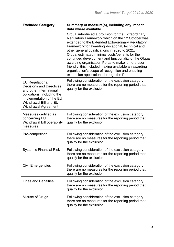| <b>Excluded Category</b>                                                                                                                                                                         | Summary of measure(s), including any impact<br>data where available                                                                                                                                                                                                                                                                                                                                                                                                                                                                                                                          |
|--------------------------------------------------------------------------------------------------------------------------------------------------------------------------------------------------|----------------------------------------------------------------------------------------------------------------------------------------------------------------------------------------------------------------------------------------------------------------------------------------------------------------------------------------------------------------------------------------------------------------------------------------------------------------------------------------------------------------------------------------------------------------------------------------------|
|                                                                                                                                                                                                  | Ofqual introduced a provision for the Extraordinary<br>Regulatory Framework which on the 12 October was<br>extended to the Extended Extraordinary Regulatory<br>Framework for awarding Vocational, technical and<br>other general qualifications in 2020 to 2021.<br>Ofqual estimated minimal costs/benefits for the<br>continued development and functionality of the Ofqual<br>awarding organisation Portal to make it more user<br>friendly, this included making available an awarding<br>organisation's scope of recognition and enabling<br>expansion applications through the Portal. |
| EU Regulations,<br><b>Decisions and Directives</b><br>and other international<br>obligations, including the<br>implementation of the EU<br>Withdrawal Bill and EU<br><b>Withdrawal Agreement</b> | Following consideration of the exclusion category<br>there are no measures for the reporting period that<br>qualify for the exclusion.                                                                                                                                                                                                                                                                                                                                                                                                                                                       |
| Measures certified as<br>concerning EU<br>Withdrawal Bill operability<br>measures                                                                                                                | Following consideration of the exclusion category<br>there are no measures for the reporting period that<br>qualify for the exclusion.                                                                                                                                                                                                                                                                                                                                                                                                                                                       |
| Pro-competition                                                                                                                                                                                  | Following consideration of the exclusion category<br>there are no measures for the reporting period that<br>qualify for the exclusion.                                                                                                                                                                                                                                                                                                                                                                                                                                                       |
| <b>Systemic Financial Risk</b>                                                                                                                                                                   | Following consideration of the exclusion category<br>there are no measures for the reporting period that<br>qualify for the exclusion.                                                                                                                                                                                                                                                                                                                                                                                                                                                       |
| <b>Civil Emergencies</b>                                                                                                                                                                         | Following consideration of the exclusion category<br>there are no measures for the reporting period that<br>qualify for the exclusion.                                                                                                                                                                                                                                                                                                                                                                                                                                                       |
| <b>Fines and Penalties</b>                                                                                                                                                                       | Following consideration of the exclusion category<br>there are no measures for the reporting period that<br>qualify for the exclusion.                                                                                                                                                                                                                                                                                                                                                                                                                                                       |
| Misuse of Drugs                                                                                                                                                                                  | Following consideration of the exclusion category<br>there are no measures for the reporting period that<br>qualify for the exclusion.                                                                                                                                                                                                                                                                                                                                                                                                                                                       |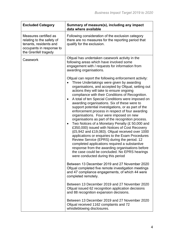| <b>Excluded Category</b>                                                                                                         | Summary of measure(s), including any impact<br>data where available                                                                                                                                                                                                                                                                                                                                                                                                                                                                                                                                                                                                                                                                                                                                                                                                                                                                                                                                                                                                                                                                                                                                                                     |
|----------------------------------------------------------------------------------------------------------------------------------|-----------------------------------------------------------------------------------------------------------------------------------------------------------------------------------------------------------------------------------------------------------------------------------------------------------------------------------------------------------------------------------------------------------------------------------------------------------------------------------------------------------------------------------------------------------------------------------------------------------------------------------------------------------------------------------------------------------------------------------------------------------------------------------------------------------------------------------------------------------------------------------------------------------------------------------------------------------------------------------------------------------------------------------------------------------------------------------------------------------------------------------------------------------------------------------------------------------------------------------------|
| Measures certified as<br>relating to the safety of<br>tenants, residents and<br>occupants in response to<br>the Grenfell tragedy | Following consideration of the exclusion category<br>there are no measures for the reporting period that<br>qualify for the exclusion.                                                                                                                                                                                                                                                                                                                                                                                                                                                                                                                                                                                                                                                                                                                                                                                                                                                                                                                                                                                                                                                                                                  |
| Casework                                                                                                                         | Ofqual has undertaken casework activity in the<br>following areas which have involved some<br>engagement with / requests for information from<br>awarding organisations.                                                                                                                                                                                                                                                                                                                                                                                                                                                                                                                                                                                                                                                                                                                                                                                                                                                                                                                                                                                                                                                                |
|                                                                                                                                  | Ofqual can report the following enforcement activity:<br>Three Undertakings were given by awarding<br>organisations, and accepted by Ofqual, setting out<br>actions they will take to ensure ongoing<br>compliance with their Conditions of Recognition.<br>A total of ten Special Conditions were imposed on<br>$\bullet$<br>awarding organisations. Six of these were to<br>support potential investigations, or as part of the<br>enforcement process in respect of four awarding<br>organisations. Four were imposed on new<br>organisations as part of the recognition process.<br>Two Notices of a Monetary Penalty (£50,000 and<br>$\bullet$<br>£350,000) issued with Notices of Cost Recovery<br>(£5,942 and £19,083). Ofqual received over 1000<br>applications or enquiries to the Exam Procedures<br>Review Service (EPRS) during the period. 12<br>completed applications required a substantive<br>response from the awarding organisations before<br>the case could be concluded. No EPRS hearings<br>were conducted during this period<br>Between 13 December 2019 and 27 November 2020<br>Ofqual completed five remote investigation meetings<br>and 47 compliance engagements, of which 44 were<br>completed remotely. |
|                                                                                                                                  | Between 13 December 2019 and 27 November 2020<br>Ofqual issued 62 recognition application decisions<br>and 88 recognition expansion decisions.                                                                                                                                                                                                                                                                                                                                                                                                                                                                                                                                                                                                                                                                                                                                                                                                                                                                                                                                                                                                                                                                                          |
|                                                                                                                                  | Between 13 December 2019 and 27 November 2020<br>Ofqual received 1162 complaints and 72<br>whistleblowing disclosures.                                                                                                                                                                                                                                                                                                                                                                                                                                                                                                                                                                                                                                                                                                                                                                                                                                                                                                                                                                                                                                                                                                                  |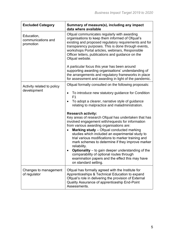| <b>Excluded Category</b>                      | Summary of measure(s), including any impact<br>data where available                                                                                                                                                                                                                                                                                                                                                                                                                                                                                                                                                                                                                                                                                                                                                                                                          |
|-----------------------------------------------|------------------------------------------------------------------------------------------------------------------------------------------------------------------------------------------------------------------------------------------------------------------------------------------------------------------------------------------------------------------------------------------------------------------------------------------------------------------------------------------------------------------------------------------------------------------------------------------------------------------------------------------------------------------------------------------------------------------------------------------------------------------------------------------------------------------------------------------------------------------------------|
| Education,<br>communications and<br>promotion | Ofqual communicates regularly with awarding<br>organisations to keep them informed of Ofqual's<br>existing and proposed regulatory requirements and for<br>transparency purposes. This is done through events,<br>workshops Portal articles, webinars, Responsible<br>Officer letters, publications and guidance on the<br>Ofqual website.                                                                                                                                                                                                                                                                                                                                                                                                                                                                                                                                   |
|                                               | A particular focus this year has been around<br>supporting awarding organisations' understanding of<br>the arrangements and regulatory frameworks in place<br>for assessment and awarding in light of the pandemic.                                                                                                                                                                                                                                                                                                                                                                                                                                                                                                                                                                                                                                                          |
| Activity related to policy<br>development     | Ofqual formally consulted on the following proposals:<br>To introduce new statutory guidance for Condition<br>$\bullet$<br>F <sub>1</sub><br>To adopt a clearer, narrative style of guidance<br>$\bullet$<br>relating to malpractice and maladministration.<br><b>Research activity:</b><br>Key areas of research Ofqual has undertaken that has<br>involved engagement with/requests for information<br>from various awarding organisations are:<br>Marking study - Ofqual conducted marking<br>$\bullet$<br>studies which included an experimental study to<br>trial various modifications to marker training and<br>mark schemes to determine if they improve marker<br>reliability.<br><b>Optionality</b> $-$ to gain deeper understanding of the<br>comparability of optional routes through<br>examination papers and the effect this may have<br>on standard setting. |
| Changes to management<br>of regulator         | Ofqual has formally agreed with the Institute for<br>Apprenticeships & Technical Education to expand<br>Ofqual's role in delivering the provision of External<br>Quality Assurance of apprenticeship End-Point<br>Assessments.                                                                                                                                                                                                                                                                                                                                                                                                                                                                                                                                                                                                                                               |